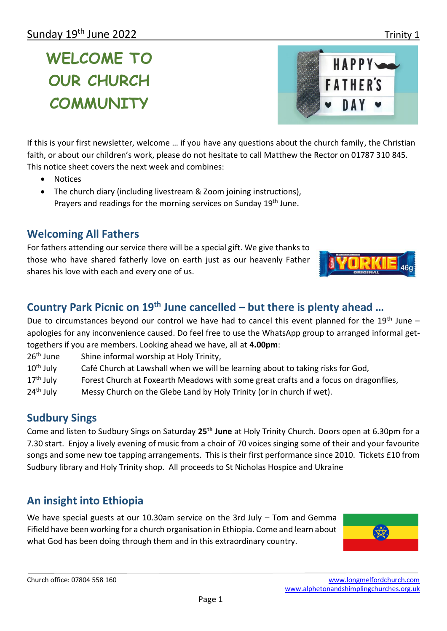# **WELCOME TO OUR CHURCH COMMUNITY**

If this is your first newsletter, welcome … if you have any questions about the church family, the Christian faith, or about our children's work, please do not hesitate to call Matthew the Rector on 01787 310 845. This notice sheet covers the next week and combines:

- **Notices**
- The church diary (including livestream & Zoom joining instructions),
- **Prayers and readings for the morning services on Sunday 19<sup>th</sup> June.**

# **Welcoming All Fathers**

For fathers attending our service there will be a special gift. We give thanks to those who have shared fatherly love on earth just as our heavenly Father shares his love with each and every one of us.

### **Country Park Picnic on 19th June cancelled – but there is plenty ahead …**

Due to circumstances beyond our control we have had to cancel this event planned for the 19<sup>th</sup> June – apologies for any inconvenience caused. Do feel free to use the WhatsApp group to arranged informal gettogethers if you are members. Looking ahead we have, all at **4.00pm**:

- 26<sup>th</sup> June Shine informal worship at Holy Trinity,
- 10<sup>th</sup> July Café Church at Lawshall when we will be learning about to taking risks for God,
- 17<sup>th</sup> July Forest Church at Foxearth Meadows with some great crafts and a focus on dragonflies,
- 24<sup>th</sup> July Messy Church on the Glebe Land by Holy Trinity (or in church if wet).

### **Sudbury Sings**

Come and listen to Sudbury Sings on Saturday **25th June** at Holy Trinity Church. Doors open at 6.30pm for a 7.30 start. Enjoy a lively evening of music from a choir of 70 voices singing some of their and your favourite songs and some new toe tapping arrangements. This is their first performance since 2010. Tickets £10 from Sudbury library and Holy Trinity shop. All proceeds to St Nicholas Hospice and Ukraine

# **An insight into Ethiopia**

We have special guests at our 10.30am service on the 3rd July – Tom and Gemma Fifield have been working for a church organisation in Ethiopia. Come and learn about what God has been doing through them and in this extraordinary country.





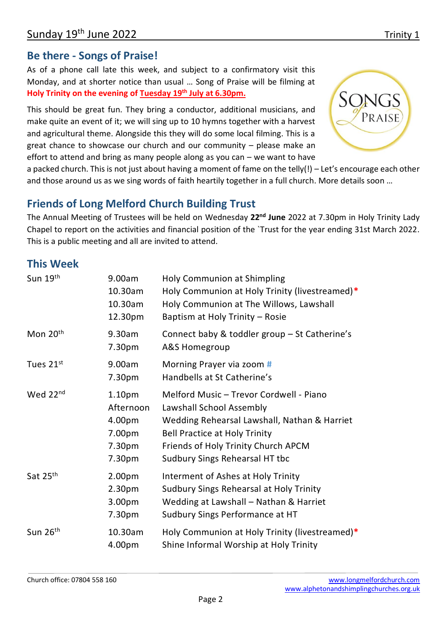#### **Be there - Songs of Praise!**

As of a phone call late this week, and subject to a confirmatory visit this Monday, and at shorter notice than usual … Song of Praise will be filming at **Holy Trinity on the evening of Tuesday 19th July at 6.30pm.** 

This should be great fun. They bring a conductor, additional musicians, and make quite an event of it; we will sing up to 10 hymns together with a harvest and agricultural theme. Alongside this they will do some local filming. This is a great chance to showcase our church and our community – please make an effort to attend and bring as many people along as you can – we want to have



a packed church. This is not just about having a moment of fame on the telly(!) – Let's encourage each other and those around us as we sing words of faith heartily together in a full church. More details soon …

### **Friends of Long Melford Church Building Trust**

The Annual Meeting of Trustees will be held on Wednesday **22nd June** 2022 at 7.30pm in Holy Trinity Lady Chapel to report on the activities and financial position of the `Trust for the year ending 31st March 2022. This is a public meeting and all are invited to attend.

#### **This Week**

| Sun 19th             | 9.00am<br>10.30am<br>10.30am<br>12.30pm                                 | <b>Holy Communion at Shimpling</b><br>Holy Communion at Holy Trinity (livestreamed)*<br>Holy Communion at The Willows, Lawshall<br>Baptism at Holy Trinity - Rosie                                                                   |
|----------------------|-------------------------------------------------------------------------|--------------------------------------------------------------------------------------------------------------------------------------------------------------------------------------------------------------------------------------|
| Mon 20 <sup>th</sup> | 9.30am<br>7.30pm                                                        | Connect baby & toddler group - St Catherine's<br>A&S Homegroup                                                                                                                                                                       |
| Tues 21st            | 9.00am<br>7.30pm                                                        | Morning Prayer via zoom #<br>Handbells at St Catherine's                                                                                                                                                                             |
| Wed 22nd             | 1.10 <sub>pm</sub><br>Afternoon<br>4.00pm<br>7.00pm<br>7.30pm<br>7.30pm | Melford Music - Trevor Cordwell - Piano<br>Lawshall School Assembly<br>Wedding Rehearsal Lawshall, Nathan & Harriet<br><b>Bell Practice at Holy Trinity</b><br>Friends of Holy Trinity Church APCM<br>Sudbury Sings Rehearsal HT tbc |
| Sat 25th             | 2.00 <sub>pm</sub><br>2.30 <sub>pm</sub><br>3.00pm<br>7.30pm            | Interment of Ashes at Holy Trinity<br>Sudbury Sings Rehearsal at Holy Trinity<br>Wedding at Lawshall - Nathan & Harriet<br>Sudbury Sings Performance at HT                                                                           |
| Sun 26th             | 10.30am<br>4.00pm                                                       | Holy Communion at Holy Trinity (livestreamed)*<br>Shine Informal Worship at Holy Trinity                                                                                                                                             |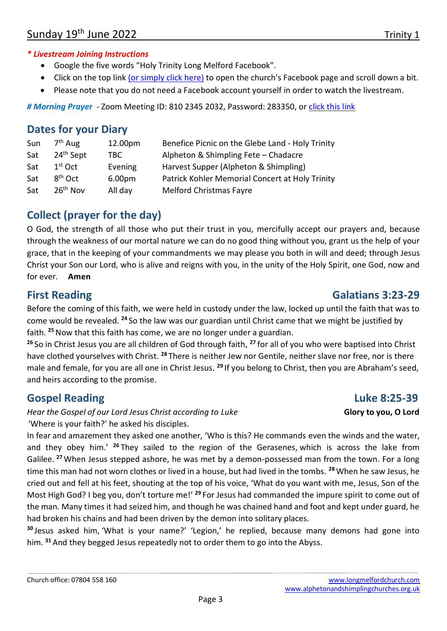#### *\* Livestream Joining Instructions*

- Google the five words "Holy Trinity Long Melford Facebook".
- Click on the top link [\(or simply click here\)](https://www.facebook.com/Holy-Trinity-Church-Long-Melford-1768795803366733/photos/pcb.2797067713872865/2797067323872904/) to open the church's Facebook page and scroll down a bit.
- Please note that you do not need a Facebook account yourself in order to watch the livestream.

# Morning Prayer - Zoom Meeting ID: 810 2345 2032, Password: 283350, or [click this link](https://us02web.zoom.us/j/81023452032?pwd=RlJMQ0ZVcGtNakpuRDlvaVdYVFJrUT09)

#### **Dates for your Diary**

| Sun | 7 <sup>th</sup> Aug   | 12.00pm | Benefice Picnic on the Glebe Land - Holy Trinity |
|-----|-----------------------|---------|--------------------------------------------------|
| Sat | 24 <sup>th</sup> Sept | TBC.    | Alpheton & Shimpling Fete - Chadacre             |
| Sat | $1st$ Oct             | Evening | Harvest Supper (Alpheton & Shimpling)            |
| Sat | $8th$ Oct             | 6.00pm  | Patrick Kohler Memorial Concert at Holy Trinity  |
| Sat | 26 <sup>th</sup> Nov  | All day | <b>Melford Christmas Fayre</b>                   |

# **Collect (prayer for the day)**

O God, the strength of all those who put their trust in you, mercifully accept our prayers and, because through the weakness of our mortal nature we can do no good thing without you, grant us the help of your grace, that in the keeping of your commandments we may please you both in will and deed; through Jesus Christ your Son our Lord, who is alive and reigns with you, in the unity of the Holy Spirit, one God, now and for ever. **Amen**

# **First Reading Galatians 3:23-29**

Before the coming of this faith, we were held in custody under the law, locked up until the faith that was to come would be revealed. **<sup>24</sup>** So the law was our guardian until Christ came that we might be justified by faith. **<sup>25</sup>**Now that this faith has come, we are no longer under a guardian.

**<sup>26</sup>** So in Christ Jesus you are all children of God through faith, **<sup>27</sup>** for all of you who were baptised into Christ have clothed yourselves with Christ. **<sup>28</sup>** There is neither Jew nor Gentile, neither slave nor free, nor is there male and female, for you are all one in Christ Jesus. **<sup>29</sup>** If you belong to Christ, then you are Abraham's seed, and heirs according to the promise.

# **Gospel Reading Community Community Community Community Community Community Community Community Community Community Community Community Community Community Community Community Community Community Community Community Commun**

*Hear the Gospel of our Lord Jesus Christ according to Luke* **Glory 10 Glory to you, O Lord** 'Where is your faith?' he asked his disciples.

In fear and amazement they asked one another, 'Who is this? He commands even the winds and the water, and they obey him.' **<sup>26</sup>** They sailed to the region of the Gerasenes, which is across the lake from Galilee. **<sup>27</sup>**When Jesus stepped ashore, he was met by a demon-possessed man from the town. For a long time this man had not worn clothes or lived in a house, but had lived in the tombs. **<sup>28</sup>**When he saw Jesus, he cried out and fell at his feet, shouting at the top of his voice, 'What do you want with me, Jesus, Son of the Most High God? I beg you, don't torture me!' **<sup>29</sup>** For Jesus had commanded the impure spirit to come out of the man. Many times it had seized him, and though he was chained hand and foot and kept under guard, he had broken his chains and had been driven by the demon into solitary places.

**<sup>30</sup>** Jesus asked him, 'What is your name?' 'Legion,' he replied, because many demons had gone into him. **<sup>31</sup>** And they begged Jesus repeatedly not to order them to go into the Abyss.